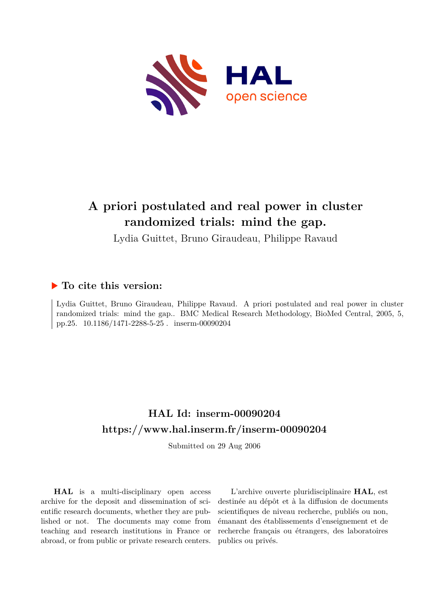

# **A priori postulated and real power in cluster randomized trials: mind the gap.**

Lydia Guittet, Bruno Giraudeau, Philippe Ravaud

### **To cite this version:**

Lydia Guittet, Bruno Giraudeau, Philippe Ravaud. A priori postulated and real power in cluster randomized trials: mind the gap.. BMC Medical Research Methodology, BioMed Central, 2005, 5, pp.25. 10.1186/1471-2288-5-25 . inserm-00090204

### **HAL Id: inserm-00090204 <https://www.hal.inserm.fr/inserm-00090204>**

Submitted on 29 Aug 2006

**HAL** is a multi-disciplinary open access archive for the deposit and dissemination of scientific research documents, whether they are published or not. The documents may come from teaching and research institutions in France or abroad, or from public or private research centers.

L'archive ouverte pluridisciplinaire **HAL**, est destinée au dépôt et à la diffusion de documents scientifiques de niveau recherche, publiés ou non, émanant des établissements d'enseignement et de recherche français ou étrangers, des laboratoires publics ou privés.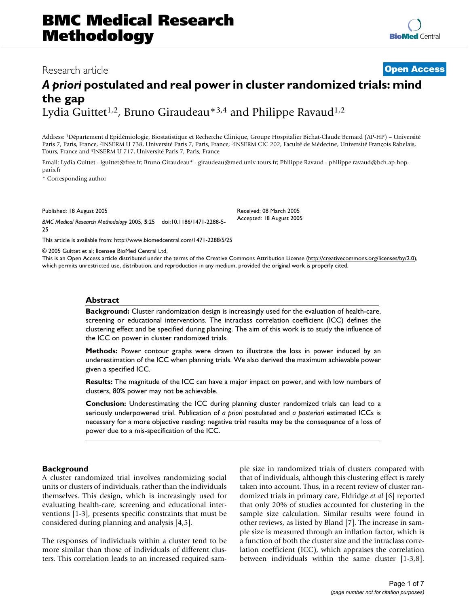### Research article **Contract Contract Contract Contract Contract Contract Contract Contract Contract Contract Contract Contract Contract Contract Contract Contract Contract Contract Contract Contract Contract Contract Contra**

## *A priori* **postulated and real power in cluster randomized trials: mind the gap** Lydia Guittet<sup>1,2</sup>, Bruno Giraudeau<sup>\*3,4</sup> and Philippe Ravaud<sup>1,2</sup>

Address: <sup>1</sup>Département d'Epidémiologie, Biostatistique et Recherche Clinique, Groupe Hospitalier Bichat-Claude Bernard (AP-HP) – Université Paris 7, Paris, France, <sup>2</sup>INSERM U 738, Université Paris 7, Paris, France, <sup>3</sup>INSERM CIC 202, Faculté de Médecine, Université François Rabelais, Tours, France and <sup>4</sup>INSERM U 717, Université Paris 7, Paris, France

Email: Lydia Guittet - lguittet@free.fr; Bruno Giraudeau\* - giraudeau@med.univ-tours.fr; Philippe Ravaud - philippe.ravaud@bch.ap-hopparis.fr

\* Corresponding author

Published: 18 August 2005

*BMC Medical Research Methodology* 2005, **5**:25 doi:10.1186/1471-2288-5- 25

[This article is available from: http://www.biomedcentral.com/1471-2288/5/25](http://www.biomedcentral.com/1471-2288/5/25)

© 2005 Guittet et al; licensee BioMed Central Ltd.

This is an Open Access article distributed under the terms of the Creative Commons Attribution License [\(http://creativecommons.org/licenses/by/2.0\)](http://creativecommons.org/licenses/by/2.0), which permits unrestricted use, distribution, and reproduction in any medium, provided the original work is properly cited.

Received: 08 March 2005 Accepted: 18 August 2005

#### **Abstract**

**Background:** Cluster randomization design is increasingly used for the evaluation of health-care, screening or educational interventions. The intraclass correlation coefficient (ICC) defines the clustering effect and be specified during planning. The aim of this work is to study the influence of the ICC on power in cluster randomized trials.

**Methods:** Power contour graphs were drawn to illustrate the loss in power induced by an underestimation of the ICC when planning trials. We also derived the maximum achievable power given a specified ICC.

**Results:** The magnitude of the ICC can have a major impact on power, and with low numbers of clusters, 80% power may not be achievable.

**Conclusion:** Underestimating the ICC during planning cluster randomized trials can lead to a seriously underpowered trial. Publication of *a priori* postulated and *a posteriori* estimated ICCs is necessary for a more objective reading: negative trial results may be the consequence of a loss of power due to a mis-specification of the ICC.

#### **Background**

A cluster randomized trial involves randomizing social units or clusters of individuals, rather than the individuals themselves. This design, which is increasingly used for evaluating health-care, screening and educational interventions [1-3], presents specific constraints that must be considered during planning and analysis [4,5].

The responses of individuals within a cluster tend to be more similar than those of individuals of different clusters. This correlation leads to an increased required sample size in randomized trials of clusters compared with that of individuals, although this clustering effect is rarely taken into account. Thus, in a recent review of cluster randomized trials in primary care, Eldridge *et al* [6] reported that only 20% of studies accounted for clustering in the sample size calculation. Similar results were found in other reviews, as listed by Bland [7]. The increase in sample size is measured through an inflation factor, which is a function of both the cluster size and the intraclass correlation coefficient (ICC), which appraises the correlation between individuals within the same cluster [1-3,8].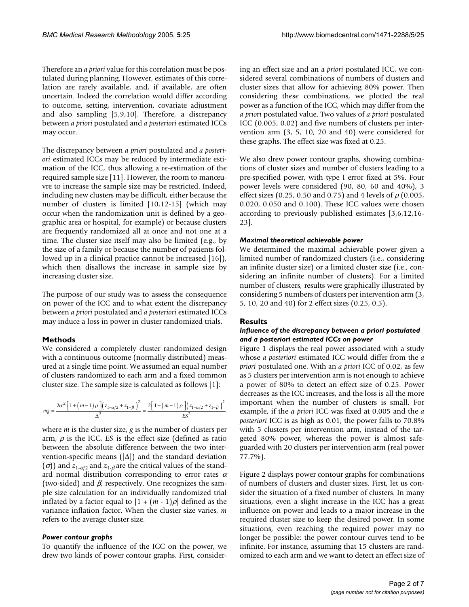Therefore an *a priori* value for this correlation must be postulated during planning. However, estimates of this correlation are rarely available, and, if available, are often uncertain. Indeed the correlation would differ according to outcome, setting, intervention, covariate adjustment and also sampling [5,9,10]. Therefore, a discrepancy between *a priori* postulated and *a posteriori* estimated ICCs may occur.

The discrepancy between *a priori* postulated and *a posteriori* estimated ICCs may be reduced by intermediate estimation of the ICC, thus allowing a re-estimation of the required sample size [11]. However, the room to manœuvre to increase the sample size may be restricted. Indeed, including new clusters may be difficult, either because the number of clusters is limited [10,12-15] (which may occur when the randomization unit is defined by a geographic area or hospital, for example) or because clusters are frequently randomized all at once and not one at a time. The cluster size itself may also be limited (e.g., by the size of a family or because the number of patients followed up in a clinical practice cannot be increased [16]), which then disallows the increase in sample size by increasing cluster size.

The purpose of our study was to assess the consequence on power of the ICC and to what extent the discrepancy between *a priori* postulated and *a posteriori* estimated ICCs may induce a loss in power in cluster randomized trials.

#### **Methods**

We considered a completely cluster randomized design with a continuous outcome (normally distributed) measured at a single time point. We assumed an equal number of clusters randomized to each arm and a fixed common cluster size. The sample size is calculated as follows [1]:

$$
mg = \frac{2\sigma^2 \left[1 + \left(m - 1\right)\rho\right] \left(z_{1-\alpha/2} + z_{1-\beta}\right)^2}{\Delta^2} = \frac{2\left[1 + \left(m - 1\right)\rho\right] \left(z_{1-\alpha/2} + z_{1-\beta}\right)^2}{ES^2}
$$

where *m* is the cluster size, *g* is the number of clusters per arm,  $\rho$  is the ICC, *ES* is the effect size (defined as ratio between the absolute difference between the two intervention-specific means ( $|\Delta|$ ) and the standard deviation  $(\sigma)$ ) and  $z_{1-\alpha/2}$  and  $z_{1-\beta}$  are the critical values of the standard normal distribution corresponding to error rates  $\alpha$ (two-sided) and  $\beta$ , respectively. One recognizes the sample size calculation for an individually randomized trial inflated by a factor equal to  $[1 + (m - 1)\rho]$  defined as the variance inflation factor. When the cluster size varies, *m* refers to the average cluster size.

#### *Power contour graphs*

To quantify the influence of the ICC on the power, we drew two kinds of power contour graphs. First, considering an effect size and an a *priori* postulated ICC, we considered several combinations of numbers of clusters and cluster sizes that allow for achieving 80% power. Then considering these combinations, we plotted the real power as a function of the ICC, which may differ from the *a priori* postulated value. Two values of *a priori* postulated ICC (0.005, 0.02) and five numbers of clusters per intervention arm (3, 5, 10, 20 and 40) were considered for these graphs. The effect size was fixed at 0.25.

We also drew power contour graphs, showing combinations of cluster sizes and number of clusters leading to a pre-specified power, with type I error fixed at 5%. Four power levels were considered (90, 80, 60 and 40%), 3 effect sizes (0.25, 0.50 and 0.75) and 4 levels of  $\rho$  (0.005, 0.020, 0.050 and 0.100). These ICC values were chosen according to previously published estimates [3,6,12,16- 23].

#### *Maximal theoretical achievable power*

We determined the maximal achievable power given a limited number of randomized clusters (i.e., considering an infinite cluster size) or a limited cluster size (i.e., considering an infinite number of clusters). For a limited number of clusters, results were graphically illustrated by considering 5 numbers of clusters per intervention arm (3, 5, 10, 20 and 40) for 2 effect sizes (0.25, 0.5).

#### **Results**

#### *Influence of the discrepancy between a priori postulated and a posteriori estimated ICCs on power*

Figure [1](#page-3-0) displays the real power associated with a study whose *a posteriori* estimated ICC would differ from the *a priori* postulated one. With an *a priori* ICC of 0.02, as few as 5 clusters per intervention arm is not enough to achieve a power of 80% to detect an effect size of 0.25. Power decreases as the ICC increases, and the loss is all the more important when the number of clusters is small. For example, if the *a priori* ICC was fixed at 0.005 and the *a posteriori* ICC is as high as 0.01, the power falls to 70.8% with 5 clusters per intervention arm, instead of the targeted 80% power, whereas the power is almost safeguarded with 20 clusters per intervention arm (real power 77.7%).

Figure 2 displays power contour graphs for combinations of numbers of clusters and cluster sizes. First, let us consider the situation of a fixed number of clusters. In many situations, even a slight increase in the ICC has a great influence on power and leads to a major increase in the required cluster size to keep the desired power. In some situations, even reaching the required power may no longer be possible: the power contour curves tend to be infinite. For instance, assuming that 15 clusters are randomized to each arm and we want to detect an effect size of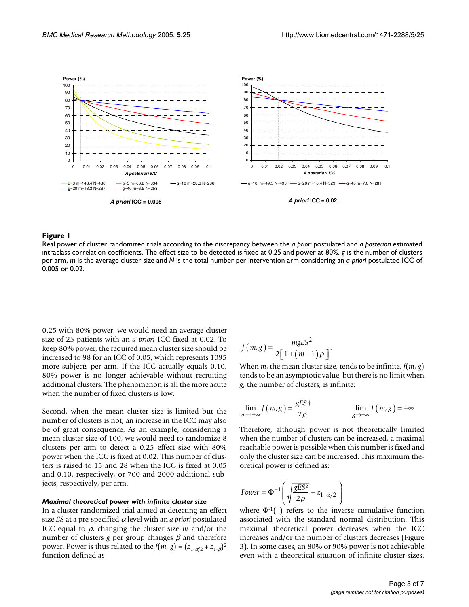<span id="page-3-0"></span>

#### Real power of cluster randomized trials intraclass correlation coefficients **Figure 1** according to the discrepancy between the *a priori* postulated and *a posteriori* estimated

Real power of cluster randomized trials according to the discrepancy between the *a priori* postulated and *a posteriori* estimated intraclass correlation coefficients. The effect size to be detected is fixed at 0.25 and power at 80%. *g* is the number of clusters per arm, *m* is the average cluster size and *N* is the total number per intervention arm considering an *a priori* postulated ICC of 0.005 or 0.02.

0.25 with 80% power, we would need an average cluster size of 25 patients with an *a priori* ICC fixed at 0.02. To keep 80% power, the required mean cluster size should be increased to 98 for an ICC of 0.05, which represents 1095 more subjects per arm. If the ICC actually equals 0.10, 80% power is no longer achievable without recruiting additional clusters. The phenomenon is all the more acute when the number of fixed clusters is low.

Second, when the mean cluster size is limited but the number of clusters is not, an increase in the ICC may also be of great consequence. As an example, considering a mean cluster size of 100, we would need to randomize 8 clusters per arm to detect a 0.25 effect size with 80% power when the ICC is fixed at 0.02. This number of clusters is raised to 15 and 28 when the ICC is fixed at 0.05 and 0.10, respectively, or 700 and 2000 additional subjects, respectively, per arm.

#### *Maximal theoretical power with infinite cluster size*

In a cluster randomized trial aimed at detecting an effect size *ES* at a pre-specified <sup>α</sup> level with an *a priori* postulated ICC equal to  $\rho$ , changing the cluster size  $m$  and/or the number of clusters *g* per group changes  $\beta$  and therefore power. Power is thus related to the  $f(m, g) = (z_{1-\alpha/2} + z_{1-\beta})^2$ function defined as

$$
f(m,g) = \frac{mgES^2}{2\left[1 + (m-1)\rho\right]}.
$$

When *m*, the mean cluster size, tends to be infinite, *f*(*m*, *g*) tends to be an asymptotic value, but there is no limit when *g*, the number of clusters, is infinite:

$$
\lim_{m \to +\infty} f(m, g) = \frac{gESf}{2\rho} \qquad \qquad \lim_{g \to +\infty} f(m, g) = +\infty
$$

Therefore, although power is not theoretically limited when the number of clusters can be increased, a maximal reachable power is possible when this number is fixed and only the cluster size can be increased. This maximum theoretical power is defined as:

$$
Power = \Phi^{-1} \left( \sqrt{\frac{gES^2}{2\rho}} - z_{1-\alpha/2} \right)
$$

where  $\Phi^{-1}(\cdot)$  refers to the inverse cumulative function associated with the standard normal distribution. This maximal theoretical power decreases when the ICC increases and/or the number of clusters decreases (Figure 3). In some cases, an 80% or 90% power is not achievable even with a theoretical situation of infinite cluster sizes.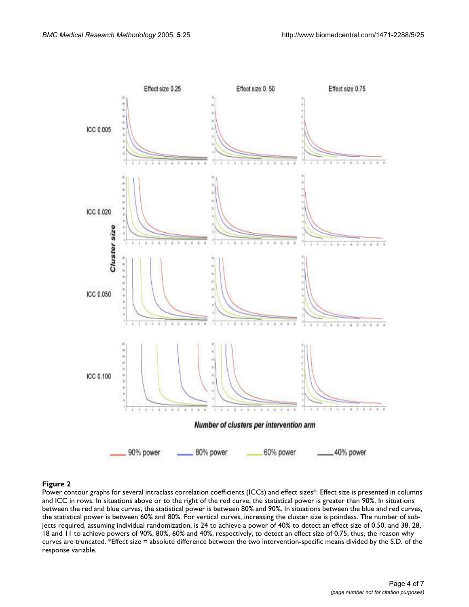

#### Power contour graphs for several intraclass co **Figure 2** rrelation coefficients (ICCs) and effect sizes\*

Power contour graphs for several intraclass correlation coefficients (ICCs) and effect sizes\*. Effect size is presented in columns and ICC in rows. In situations above or to the right of the red curve, the statistical power is greater than 90%. In situations between the red and blue curves, the statistical power is between 80% and 90%. In situations between the blue and red curves, the statistical power is between 60% and 80%. For vertical curves, increasing the cluster size is pointless. The number of subjects required, assuming individual randomization, is 24 to achieve a power of 40% to detect an effect size of 0.50, and 38, 28, 18 and 11 to achieve powers of 90%, 80%, 60% and 40%, respectively, to detect an effect size of 0.75, thus, the reason why curves are truncated. \*Effect size = absolute difference between the two intervention-specific means divided by the S.D. of the response variable.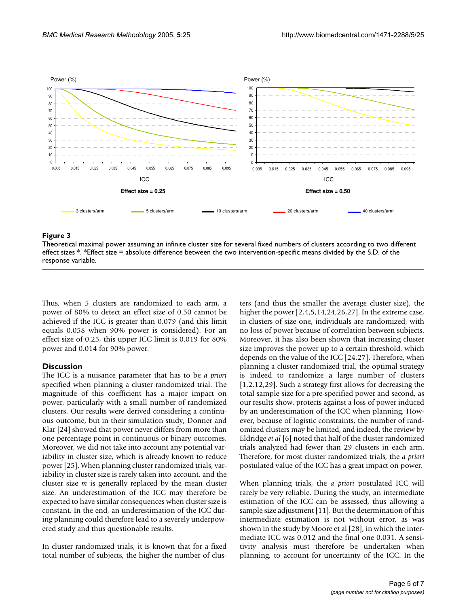

#### **Figure 3** Theoretical maximal power assuming an infinite clusters for several fixed numbers according to two different

Theoretical maximal power assuming an infinite cluster size for several fixed numbers of clusters according to two different effect sizes \*. \*Effect size = absolute difference between the two intervention-specific means divided by the S.D. of the response variable.

Thus, when 5 clusters are randomized to each arm, a power of 80% to detect an effect size of 0.50 cannot be achieved if the ICC is greater than 0.079 (and this limit equals 0.058 when 90% power is considered). For an effect size of 0.25, this upper ICC limit is 0.019 for 80% power and 0.014 for 90% power.

#### **Discussion**

The ICC is a nuisance parameter that has to be *a priori* specified when planning a cluster randomized trial. The magnitude of this coefficient has a major impact on power, particularly with a small number of randomized clusters. Our results were derived considering a continuous outcome, but in their simulation study, Donner and Klar [24] showed that power never differs from more than one percentage point in continuous or binary outcomes. Moreover, we did not take into account any potential variability in cluster size, which is already known to reduce power [25]. When planning cluster randomized trials, variability in cluster size is rarely taken into account, and the cluster size *m* is generally replaced by the mean cluster size. An underestimation of the ICC may therefore be expected to have similar consequences when cluster size is constant. In the end, an underestimation of the ICC during planning could therefore lead to a severely underpowered study and thus questionable results.

In cluster randomized trials, it is known that for a fixed total number of subjects, the higher the number of clusters (and thus the smaller the average cluster size), the higher the power [2,4,5,14,24,26,27]. In the extreme case, in clusters of size one, individuals are randomized, with no loss of power because of correlation between subjects. Moreover, it has also been shown that increasing cluster size improves the power up to a certain threshold, which depends on the value of the ICC [24,27]. Therefore, when planning a cluster randomized trial, the optimal strategy is indeed to randomize a large number of clusters [1,2,12,29]. Such a strategy first allows for decreasing the total sample size for a pre-specified power and second, as our results show, protects against a loss of power induced by an underestimation of the ICC when planning. However, because of logistic constraints, the number of randomized clusters may be limited, and indeed, the review by Eldridge *et al* [6] noted that half of the cluster randomized trials analyzed had fewer than 29 clusters in each arm. Therefore, for most cluster randomized trials, the *a priori* postulated value of the ICC has a great impact on power.

When planning trials, the *a priori* postulated ICC will rarely be very reliable. During the study, an intermediate estimation of the ICC can be assessed, thus allowing a sample size adjustment [11]. But the determination of this intermediate estimation is not without error, as was shown in the study by Moore et al [28], in which the intermediate ICC was 0.012 and the final one 0.031. A sensitivity analysis must therefore be undertaken when planning, to account for uncertainty of the ICC. In the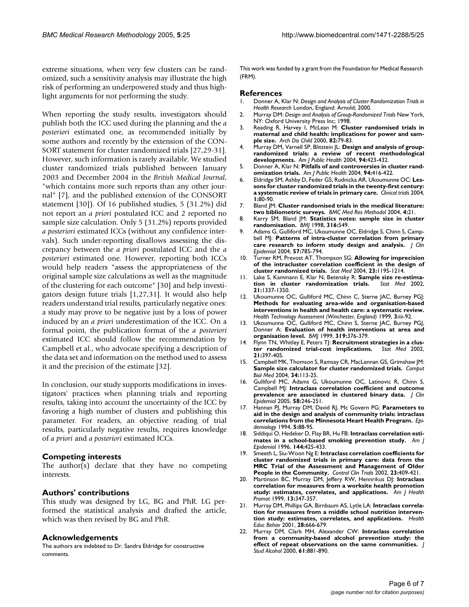extreme situations, when very few clusters can be randomized, such a sensitivity analysis may illustrate the high risk of performing an underpowered study and thus highlight arguments for not performing the study.

When reporting the study results, investigators should publish both the ICC used during the planning and the *a posteriori* estimated one, as recommended initially by some authors and recently by the extension of the CON-SORT statement for cluster randomized trials [27,29-31]. However, such information is rarely available. We studied cluster randomized trials published between January 2003 and December 2004 in the *British Medical Journal*, "which contains more such reports than any other journal" [7], and the published extension of the CONSORT statement [30]). Of 16 published studies, 5 (31.2%) did not report an *a priori* postulated ICC and 2 reported no sample size calculation. Only 5 (31.2%) reports provided *a posteriori* estimated ICCs (without any confidence intervals). Such under-reporting disallows assessing the discrepancy between the *a priori* postulated ICC and the *a posteriori* estimated one. However, reporting both ICCs would help readers "assess the appropriateness of the original sample size calculations as well as the magnitude of the clustering for each outcome" [30] and help investigators design future trials [1,27,31]. It would also help readers understand trial results, particularly negative ones: a study may prove to be negative just by a loss of power induced by an *a priori* underestimation of the ICC. On a formal point, the publication format of the *a posteriori* estimated ICC should follow the recommendation by Campbell et al., who advocate specifying a description of the data set and information on the method used to assess it and the precision of the estimate [32].

In conclusion, our study supports modifications in investigators' practices when planning trials and reporting results, taking into account the uncertainty of the ICC by favoring a high number of clusters and publishing this parameter. For readers, an objective reading of trial results, particularly negative results, requires knowledge of *a priori* and *a posteriori* estimated ICCs.

#### **Competing interests**

The author(s) declare that they have no competing interests.

#### **Authors' contributions**

This study was designed by LG, BG and PhR. LG performed the statistical analysis and drafted the article, which was then revised by BG and PhR.

#### **Acknowledgements**

The authors are indebted to Dr. Sandra Eldridge for constructive comments.

This work was funded by a grant from the Foundation for Medical Research (FRM).

#### **References**

- 1. Donner A, Klar N: *Design and Analysis of Cluster Randomization Trials in Health Research* London, England: Arnold; 2000.
- 2. Murray DM: *Design and Analysis of Group-Randomized Trials* New York, NY: Oxford University Press Inc; 1998.
- 3. Reading R, Harvey I, McLean M: **[Cluster randomised trials in](http://www.ncbi.nlm.nih.gov/entrez/query.fcgi?cmd=Retrieve&db=PubMed&dopt=Abstract&list_uids=10630921) [maternal and child health: implications for power and sam](http://www.ncbi.nlm.nih.gov/entrez/query.fcgi?cmd=Retrieve&db=PubMed&dopt=Abstract&list_uids=10630921)[ple size.](http://www.ncbi.nlm.nih.gov/entrez/query.fcgi?cmd=Retrieve&db=PubMed&dopt=Abstract&list_uids=10630921)** *Arch Dis Child* 2000, **82:**79-83.
- 4. Murray DM, Varnell SP, Blitstein JL: **[Design and analysis of group](http://www.ncbi.nlm.nih.gov/entrez/query.fcgi?cmd=Retrieve&db=PubMed&dopt=Abstract&list_uids=14998806)[randomized trials: a review of recent methodological](http://www.ncbi.nlm.nih.gov/entrez/query.fcgi?cmd=Retrieve&db=PubMed&dopt=Abstract&list_uids=14998806) [developments.](http://www.ncbi.nlm.nih.gov/entrez/query.fcgi?cmd=Retrieve&db=PubMed&dopt=Abstract&list_uids=14998806)** *Am J Public Health* 2004, **94:**423-432.
- 5. Donner A, Klar N: **[Pitfalls of and controversies in cluster rand](http://www.ncbi.nlm.nih.gov/entrez/query.fcgi?cmd=Retrieve&db=PubMed&dopt=Abstract&list_uids=14998805)[omization trials.](http://www.ncbi.nlm.nih.gov/entrez/query.fcgi?cmd=Retrieve&db=PubMed&dopt=Abstract&list_uids=14998805)** *Am J Public Health* 2004, **94:**416-422.
- 6. Eldridge SM, Ashby D, Feder GS, Rudnicka AR, Ukoumunne OC: **Lessons for cluster randomized trials in the twenty-first century: a systematic review of trials in primary care.** *Clinical trials* 2004, **1:**80-90.
- 7. Bland JM: **[Cluster randomised trials in the medical literature:](http://www.ncbi.nlm.nih.gov/entrez/query.fcgi?cmd=Retrieve&db=PubMed&dopt=Abstract&list_uids=15310402) [two bibliometric surveys.](http://www.ncbi.nlm.nih.gov/entrez/query.fcgi?cmd=Retrieve&db=PubMed&dopt=Abstract&list_uids=15310402)** *BMC Med Res Methodol* 2004, **4:**21.
- 8. Kerry SM, Bland JM: **[Statistics notes: sample size in cluster](http://www.ncbi.nlm.nih.gov/entrez/query.fcgi?cmd=Retrieve&db=PubMed&dopt=Abstract&list_uids=9501723) [randomisation.](http://www.ncbi.nlm.nih.gov/entrez/query.fcgi?cmd=Retrieve&db=PubMed&dopt=Abstract&list_uids=9501723)** *BMJ* 1998, **316:**549.
- 9. Adams G, Gulliford MC, Ukoumunne OC, Eldridge S, Chinn S, Campbell MJ: **[Patterns of intra-cluster correlation from primary](http://www.ncbi.nlm.nih.gov/entrez/query.fcgi?cmd=Retrieve&db=PubMed&dopt=Abstract&list_uids=15485730) [care research to inform study design and analysis.](http://www.ncbi.nlm.nih.gov/entrez/query.fcgi?cmd=Retrieve&db=PubMed&dopt=Abstract&list_uids=15485730)** *J Clin Epidemiol* 2004, **57:**785-794.
- 10. Turner RM, Prevost AT, Thompson SG: **[Allowing for imprecision](http://www.ncbi.nlm.nih.gov/entrez/query.fcgi?cmd=Retrieve&db=PubMed&dopt=Abstract&list_uids=15083478) [of the intracluster correlation coefficient in the design of](http://www.ncbi.nlm.nih.gov/entrez/query.fcgi?cmd=Retrieve&db=PubMed&dopt=Abstract&list_uids=15083478) [cluster randomized trials.](http://www.ncbi.nlm.nih.gov/entrez/query.fcgi?cmd=Retrieve&db=PubMed&dopt=Abstract&list_uids=15083478)** *Stat Med* 2004, **23:**1195-1214.
- 11. Lake S, Kammann E, Klar N, Betensky R: **[Sample size re-estima](http://www.ncbi.nlm.nih.gov/entrez/query.fcgi?cmd=Retrieve&db=PubMed&dopt=Abstract&list_uids=12185888)[tion in cluster randomization trials.](http://www.ncbi.nlm.nih.gov/entrez/query.fcgi?cmd=Retrieve&db=PubMed&dopt=Abstract&list_uids=12185888)** *Stat Med* 2002, **21:**1337-1350.
- 12. Ukoumunne OC, Gulliford MC, Chinn C, Sterne JAC, Burney PGJ: **[Methods for evaluating area-wide and organisation-based](http://www.ncbi.nlm.nih.gov/entrez/query.fcgi?cmd=Retrieve&db=PubMed&dopt=Abstract&list_uids=10982317) interventions in health and health care: a systematic review.** *Health Technology Assessment (Winchester, England)* 1999, **3:**iii-92.
- 13. Ukoumunne OC, Gulliford MC, Chinn S, Sterne JAC, Burney PGJ, Donner A: **[Evaluation of health interventions at area and](http://www.ncbi.nlm.nih.gov/entrez/query.fcgi?cmd=Retrieve&db=PubMed&dopt=Abstract&list_uids=10435968) [organisation level.](http://www.ncbi.nlm.nih.gov/entrez/query.fcgi?cmd=Retrieve&db=PubMed&dopt=Abstract&list_uids=10435968)** *BMJ* 1999, **319:**376-379.
- 14. Flynn TN, Whitley E, Peters TJ: **Recruitment strategies in a clus-**<br>ter randomized trial-cost implications. Stat Med 2002, [ter randomized trial-cost implications.](http://www.ncbi.nlm.nih.gov/entrez/query.fcgi?cmd=Retrieve&db=PubMed&dopt=Abstract&list_uids=11813226) **21:**397-405.
- 15. Campbell MK, Thomson S, Ramsay CR, MacLennan GS, Grimshaw JM: **[Sample size calculator for cluster randomized trials.](http://www.ncbi.nlm.nih.gov/entrez/query.fcgi?cmd=Retrieve&db=PubMed&dopt=Abstract&list_uids=14972631)** *Comput Biol Med* 2004, **34:**113-25.
- 16. Gulliford MC, Adams G, Ukoumunne OC, Latinovic R, Chinn S, Campbell MJ: **[Intraclass correlation coefficient and outcome](http://www.ncbi.nlm.nih.gov/entrez/query.fcgi?cmd=Retrieve&db=PubMed&dopt=Abstract&list_uids=15718113) [prevalence are associated in clustered binary data.](http://www.ncbi.nlm.nih.gov/entrez/query.fcgi?cmd=Retrieve&db=PubMed&dopt=Abstract&list_uids=15718113)** *J Clin Epidemiol* 2005, **58:**246-251.
- 17. Hannan PJ, Murray DM, David RJ, Mc Govern PG: **[Parameters to](http://www.ncbi.nlm.nih.gov/entrez/query.fcgi?cmd=Retrieve&db=PubMed&dopt=Abstract&list_uids=8117787) [aid in the design and analysis of community trials: intraclass](http://www.ncbi.nlm.nih.gov/entrez/query.fcgi?cmd=Retrieve&db=PubMed&dopt=Abstract&list_uids=8117787) [correlations from the Minnesota Heart Health Program.](http://www.ncbi.nlm.nih.gov/entrez/query.fcgi?cmd=Retrieve&db=PubMed&dopt=Abstract&list_uids=8117787)** *Epidemiology* 1994, **5:**88-95.
- 18. Siddiqui O, Hedeker D, Flay BR, Hu FB: [Intraclass correlation esti](http://www.ncbi.nlm.nih.gov/entrez/query.fcgi?cmd=Retrieve&db=PubMed&dopt=Abstract&list_uids=8712201)**[mates in a school-based smoking prevention study.](http://www.ncbi.nlm.nih.gov/entrez/query.fcgi?cmd=Retrieve&db=PubMed&dopt=Abstract&list_uids=8712201)** *Am J Epidemiol* 1996, **144:**425-433.
- 19. Smeeth L, Siu-Woon Ng E: **[Intraclass correlation coefficients for](http://www.ncbi.nlm.nih.gov/entrez/query.fcgi?cmd=Retrieve&db=PubMed&dopt=Abstract&list_uids=12161083) [cluster randomized trials in primary care: data from the](http://www.ncbi.nlm.nih.gov/entrez/query.fcgi?cmd=Retrieve&db=PubMed&dopt=Abstract&list_uids=12161083) MRC Trial of the Assessment and Management of Older [People in the Community.](http://www.ncbi.nlm.nih.gov/entrez/query.fcgi?cmd=Retrieve&db=PubMed&dopt=Abstract&list_uids=12161083)** *Control Clin Trials* 2002, **23:**409-421.
- 20. Martinson BC, Murray DM, Jeffery RW, Hennrikus DJ: **[Intraclass](http://www.ncbi.nlm.nih.gov/entrez/query.fcgi?cmd=Retrieve&db=PubMed&dopt=Abstract&list_uids=10557507) [correlation for measures from a worksite health promotion](http://www.ncbi.nlm.nih.gov/entrez/query.fcgi?cmd=Retrieve&db=PubMed&dopt=Abstract&list_uids=10557507) [study: estimates, correlates, and applications.](http://www.ncbi.nlm.nih.gov/entrez/query.fcgi?cmd=Retrieve&db=PubMed&dopt=Abstract&list_uids=10557507)** *Am J Health Promot* 1999, **13:**347-357.
- 21. Murray DM, Phillips GA, Birnbaum AS, Lytle LA: **[Intraclass correla](http://www.ncbi.nlm.nih.gov/entrez/query.fcgi?cmd=Retrieve&db=PubMed&dopt=Abstract&list_uids=11720271)[tion for measures from a middle school nutrition interven](http://www.ncbi.nlm.nih.gov/entrez/query.fcgi?cmd=Retrieve&db=PubMed&dopt=Abstract&list_uids=11720271)[tion study: estimates, correlates, and applications.](http://www.ncbi.nlm.nih.gov/entrez/query.fcgi?cmd=Retrieve&db=PubMed&dopt=Abstract&list_uids=11720271)** *Health Educ Behav* 2001, **28:**666-679.
- 22. Murray DM, Clark MH, Alexander CW: **[Intraclass correlation](http://www.ncbi.nlm.nih.gov/entrez/query.fcgi?cmd=Retrieve&db=PubMed&dopt=Abstract&list_uids=11188494) [from a community-based alcohol prevention study: the](http://www.ncbi.nlm.nih.gov/entrez/query.fcgi?cmd=Retrieve&db=PubMed&dopt=Abstract&list_uids=11188494) [effect of repeat observations on the same communities.](http://www.ncbi.nlm.nih.gov/entrez/query.fcgi?cmd=Retrieve&db=PubMed&dopt=Abstract&list_uids=11188494)** *J Stud Alcohol* 2000, **61:**881-890.